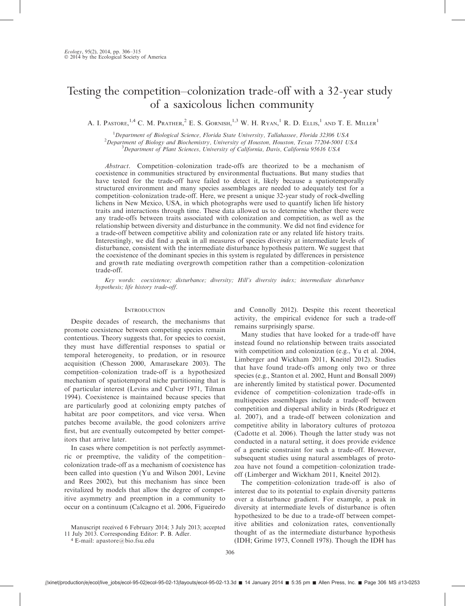# Testing the competition–colonization trade-off with a 32-year study of a saxicolous lichen community

A. I. Pastore,<sup>1,4</sup> C. M. Prather,<sup>2</sup> E. S. Gornish,<sup>1,3</sup> W. H. Ryan,<sup>1</sup> R. D. Ellis,<sup>1</sup> and T. E. Miller<sup>1</sup>

<sup>1</sup>Department of Biological Science, Florida State University, Tallahassee, Florida 32306 USA  $^{1}$ Department of Biological Science, Florida State University, Tallahassee, Florida 32306 USA<br>2 Department of Biology and Biochamistry, University of Houston, Houston, Taxas 77204,5001 L Department of Biology and Biochemistry, University of Houston, Houston, Texas 77204-5001 USA<br><sup>3</sup> Department of Plant Sciences, University of California, Davis, California 05616 USA  $^3$ Department of Plant Sciences, University of California, Davis, California 95616 USA

Abstract. Competition–colonization trade-offs are theorized to be a mechanism of coexistence in communities structured by environmental fluctuations. But many studies that have tested for the trade-off have failed to detect it, likely because a spatiotemporally structured environment and many species assemblages are needed to adequately test for a competition–colonization trade-off. Here, we present a unique 32-year study of rock-dwelling lichens in New Mexico, USA, in which photographs were used to quantify lichen life history traits and interactions through time. These data allowed us to determine whether there were any trade-offs between traits associated with colonization and competition, as well as the relationship between diversity and disturbance in the community. We did not find evidence for a trade-off between competitive ability and colonization rate or any related life history traits. Interestingly, we did find a peak in all measures of species diversity at intermediate levels of disturbance, consistent with the intermediate disturbance hypothesis pattern. We suggest that the coexistence of the dominant species in this system is regulated by differences in persistence and growth rate mediating overgrowth competition rather than a competition–colonization trade-off.

Key words: coexistence; disturbance; diversity; Hill's diversity index; intermediate disturbance hypothesis; life history trade-off.

## **INTRODUCTION**

Despite decades of research, the mechanisms that promote coexistence between competing species remain contentious. Theory suggests that, for species to coexist, they must have differential responses to spatial or temporal heterogeneity, to predation, or in resource acquisition (Chesson 2000, Amarasekare 2003). The competition–colonization trade-off is a hypothesized mechanism of spatiotemporal niche partitioning that is of particular interest (Levins and Culver 1971, Tilman 1994). Coexistence is maintained because species that are particularly good at colonizing empty patches of habitat are poor competitors, and vice versa. When patches become available, the good colonizers arrive first, but are eventually outcompeted by better competitors that arrive later.

In cases where competition is not perfectly asymmetric or preemptive, the validity of the competition– colonization trade-off as a mechanism of coexistence has been called into question (Yu and Wilson 2001, Levine and Rees 2002), but this mechanism has since been revitalized by models that allow the degree of competitive asymmetry and preemption in a community to occur on a continuum (Calcagno et al. 2006, Figueiredo

Manuscript received 6 February 2014; 3 July 2013; accepted 11 July 2013. Corresponding Editor: P. B. Adler.

<sup>4</sup> E-mail: apastore@bio.fsu.edu

and Connolly 2012). Despite this recent theoretical activity, the empirical evidence for such a trade-off remains surprisingly sparse.

Many studies that have looked for a trade-off have instead found no relationship between traits associated with competition and colonization (e.g., Yu et al. 2004, Limberger and Wickham 2011, Kneitel 2012). Studies that have found trade-offs among only two or three species (e.g., Stanton et al. 2002, Hunt and Bonsall 2009) are inherently limited by statistical power. Documented evidence of competition–colonization trade-offs in multispecies assemblages include a trade-off between competition and dispersal ability in birds (Rodríguez et al. 2007), and a trade-off between colonization and competitive ability in laboratory cultures of protozoa (Cadotte et al. 2006). Though the latter study was not conducted in a natural setting, it does provide evidence of a genetic constraint for such a trade-off. However, subsequent studies using natural assemblages of protozoa have not found a competition–colonization tradeoff (Limberger and Wickham 2011, Kneitel 2012).

The competition–colonization trade-off is also of interest due to its potential to explain diversity patterns over a disturbance gradient. For example, a peak in diversity at intermediate levels of disturbance is often hypothesized to be due to a trade-off between competitive abilities and colonization rates, conventionally thought of as the intermediate disturbance hypothesis (IDH; Grime 1973, Connell 1978). Though the IDH has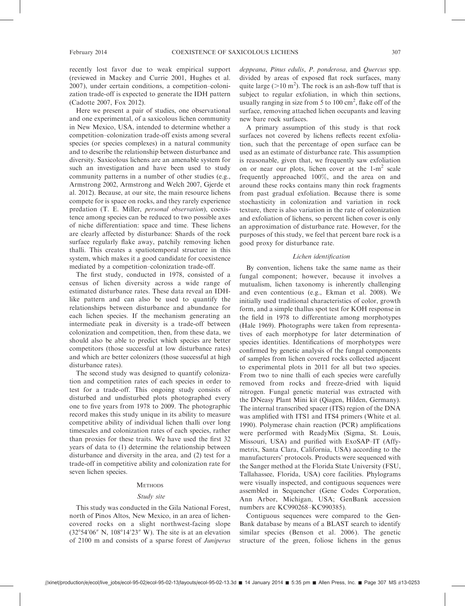recently lost favor due to weak empirical support (reviewed in Mackey and Currie 2001, Hughes et al. 2007), under certain conditions, a competition–colonization trade-off is expected to generate the IDH pattern (Cadotte 2007, Fox 2012).

Here we present a pair of studies, one observational and one experimental, of a saxicolous lichen community in New Mexico, USA, intended to determine whether a competition–colonization trade-off exists among several species (or species complexes) in a natural community and to describe the relationship between disturbance and diversity. Saxicolous lichens are an amenable system for such an investigation and have been used to study community patterns in a number of other studies (e.g., Armstrong 2002, Armstrong and Welch 2007, Gjerde et al. 2012). Because, at our site, the main resource lichens compete for is space on rocks, and they rarely experience predation (T. E. Miller, personal observation), coexistence among species can be reduced to two possible axes of niche differentiation: space and time. These lichens are clearly affected by disturbance: Shards of the rock surface regularly flake away, patchily removing lichen thalli. This creates a spatiotemporal structure in this system, which makes it a good candidate for coexistence mediated by a competition–colonization trade-off.

The first study, conducted in 1978, consisted of a census of lichen diversity across a wide range of estimated disturbance rates. These data reveal an IDHlike pattern and can also be used to quantify the relationships between disturbance and abundance for each lichen species. If the mechanism generating an intermediate peak in diversity is a trade-off between colonization and competition, then, from these data, we should also be able to predict which species are better competitors (those successful at low disturbance rates) and which are better colonizers (those successful at high disturbance rates).

The second study was designed to quantify colonization and competition rates of each species in order to test for a trade-off. This ongoing study consists of disturbed and undisturbed plots photographed every one to five years from 1978 to 2009. The photographic record makes this study unique in its ability to measure competitive ability of individual lichen thalli over long timescales and colonization rates of each species, rather than proxies for these traits. We have used the first 32 years of data to (1) determine the relationship between disturbance and diversity in the area, and (2) test for a trade-off in competitive ability and colonization rate for seven lichen species.

## **METHODS**

### Study site

This study was conducted in the Gila National Forest, north of Pinos Altos, New Mexico, in an area of lichencovered rocks on a slight northwest-facing slope  $(32^{\circ}54'06'' \text{ N}, 108^{\circ}14'23'' \text{ W})$ . The site is at an elevation of 2100 m and consists of a sparse forest of Juniperus

deppeana, Pinus edulis, P. ponderosa, and Quercus spp. divided by areas of exposed flat rock surfaces, many quite large ( $>10 \text{ m}^2$ ). The rock is an ash-flow tuff that is subject to regular exfoliation, in which thin sections, usually ranging in size from 5 to 100  $\text{cm}^2$ , flake off of the surface, removing attached lichen occupants and leaving new bare rock surfaces.

A primary assumption of this study is that rock surfaces not covered by lichens reflects recent exfoliation, such that the percentage of open surface can be used as an estimate of disturbance rate. This assumption is reasonable, given that, we frequently saw exfoliation on or near our plots, lichen cover at the  $1-m^2$  scale frequently approached 100%, and the area on and around these rocks contains many thin rock fragments from past gradual exfoliation. Because there is some stochasticity in colonization and variation in rock texture, there is also variation in the rate of colonization and exfoliation of lichens, so percent lichen cover is only an approximation of disturbance rate. However, for the purposes of this study, we feel that percent bare rock is a good proxy for disturbance rate.

## Lichen identification

By convention, lichens take the same name as their fungal component; however, because it involves a mutualism, lichen taxonomy is inherently challenging and even contentious (e.g., Ekman et al. 2008). We initially used traditional characteristics of color, growth form, and a simple thallus spot test for KOH response in the field in 1978 to differentiate among morphotypes (Hale 1969). Photographs were taken from representatives of each morphotype for later determination of species identities. Identifications of morphotypes were confirmed by genetic analysis of the fungal components of samples from lichen covered rocks collected adjacent to experimental plots in 2011 for all but two species. From two to nine thalli of each species were carefully removed from rocks and freeze-dried with liquid nitrogen. Fungal genetic material was extracted with the DNeasy Plant Mini kit (Qiagen, Hilden, Germany). The internal transcribed spacer (ITS) region of the DNA was amplified with ITS1 and ITS4 primers (White et al. 1990). Polymerase chain reaction (PCR) amplifications were performed with ReadyMix (Sigma, St. Louis, Missouri, USA) and purified with ExoSAP–IT (Affymetrix, Santa Clara, California, USA) according to the manufacturers' protocols. Products were sequenced with the Sanger method at the Florida State University (FSU, Tallahassee, Florida, USA) core facilities. Phylograms were visually inspected, and contiguous sequences were assembled in Sequencher (Gene Codes Corporation, Ann Arbor, Michigan, USA; GenBank accession numbers are KC990268–KC990385).

Contiguous sequences were compared to the Gen-Bank database by means of a BLAST search to identify similar species (Benson et al. 2006). The genetic structure of the green, foliose lichens in the genus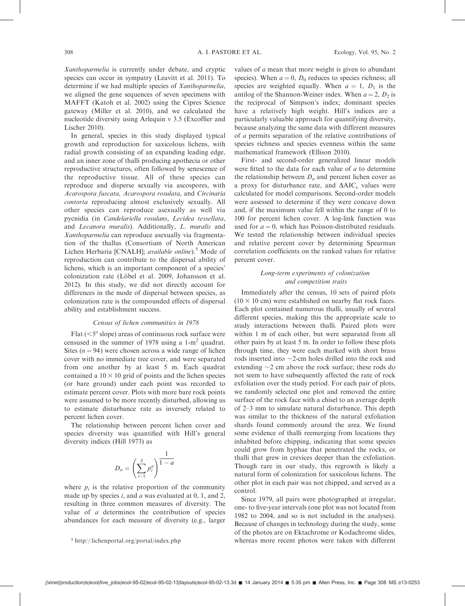Xanthoparmelia is currently under debate, and cryptic species can occur in sympatry (Leavitt et al. 2011). To determine if we had multiple species of Xanthoparmelia, we aligned the gene sequences of seven specimens with MAFFT (Katoh et al. 2002) using the Cipres Science gateway (Miller et al. 2010), and we calculated the nucleotide diversity using Arlequin v 3.5 (Excoffier and Lischer 2010).

In general, species in this study displayed typical growth and reproduction for saxicolous lichens, with radial growth consisting of an expanding leading edge, and an inner zone of thalli producing apothecia or other reproductive structures, often followed by senescence of the reproductive tissue. All of these species can reproduce and disperse sexually via ascospores, with Acarospora fuscata, Acarospora rosulata, and Circinaria contorta reproducing almost exclusively sexually. All other species can reproduce asexually as well via pycnidia (in Candelariella rosulans, Lecidea tessellata, and Lecanora muralis). Additionally, L. muralis and Xanthoparmelia can reproduce asexually via fragmentation of the thallus (Consortium of North American Lichen Herbaria [CNALH]; available online).<sup>5</sup> Mode of reproduction can contribute to the dispersal ability of lichens, which is an important component of a species' colonization rate (Löbel et al. 2009, Johansson et al. 2012). In this study, we did not directly account for differences in the mode of dispersal between species, as colonization rate is the compounded effects of dispersal ability and establishment success.

# Census of lichen communities in 1978

Flat  $(<$  5 $\degree$  slope) areas of continuous rock surface were censused in the summer of 1978 using a  $1-m^2$  quadrat. Sites ( $n = 94$ ) were chosen across a wide range of lichen cover with no immediate tree cover, and were separated from one another by at least 5 m. Each quadrat contained a  $10 \times 10$  grid of points and the lichen species (or bare ground) under each point was recorded to estimate percent cover. Plots with more bare rock points were assumed to be more recently disturbed, allowing us to estimate disturbance rate as inversely related to percent lichen cover.

The relationship between percent lichen cover and species diversity was quantified with Hill's general diversity indices (Hill 1973) as

$$
D_a = \left(\sum_{i=1}^S p_i^a\right)^{\frac{1}{1-a}}
$$

where  $p_i$  is the relative proportion of the community made up by species  $i$ , and  $a$  was evaluated at 0, 1, and 2, resulting in three common measures of diversity. The value of a determines the contribution of species abundances for each measure of diversity (e.g., larger

values of  $a$  mean that more weight is given to abundant species). When  $a = 0$ ,  $D_0$  reduces to species richness; all species are weighted equally. When  $a = 1$ ,  $D_1$  is the antilog of the Shannon-Weiner index. When  $a = 2$ ,  $D_2$  is the reciprocal of Simpson's index; dominant species have a relatively high weight. Hill's indices are a particularly valuable approach for quantifying diversity, because analyzing the same data with different measures of a permits separation of the relative contributions of species richness and species evenness within the same mathematical framework (Ellison 2010).

First- and second-order generalized linear models were fitted to the data for each value of  $a$  to determine the relationship between  $D_a$  and percent lichen cover as a proxy for disturbance rate, and  $\Delta AIC_c$  values were calculated for model comparisons. Second-order models were assessed to determine if they were concave down and, if the maximum value fell within the range of 0 to 100 for percent lichen cover. A log-link function was used for  $a = 0$ , which has Poisson-distributed residuals. We tested the relationship between individual species and relative percent cover by determining Spearman correlation coefficients on the ranked values for relative percent cover.

# Long-term experiments of colonization and competition traits

Immediately after the census, 10 sets of paired plots  $(10 \times 10 \text{ cm})$  were established on nearby flat rock faces. Each plot contained numerous thalli, usually of several different species, making this the appropriate scale to study interactions between thalli. Paired plots were within 1 m of each other, but were separated from all other pairs by at least 5 m. In order to follow these plots through time, they were each marked with short brass rods inserted into  $\sim$ 2-cm holes drilled into the rock and extending  $\sim$ 2 cm above the rock surface; these rods do not seem to have subsequently affected the rate of rock exfoliation over the study period. For each pair of plots, we randomly selected one plot and removed the entire surface of the rock face with a chisel to an average depth of 2–3 mm to simulate natural disturbance. This depth was similar to the thickness of the natural exfoliation shards found commonly around the area. We found some evidence of thalli reemerging from locations they inhabited before chipping, indicating that some species could grow from hyphae that penetrated the rocks, or thalli that grew in crevices deeper than the exfoliation. Though rare in our study, this regrowth is likely a natural form of colonization for saxicolous lichens. The other plot in each pair was not chipped, and served as a control.

Since 1979, all pairs were photographed at irregular, one- to five-year intervals (one plot was not located from 1982 to 2004, and so is not included in the analyses). Because of changes in technology during the study, some of the photos are on Ektachrome or Kodachrome slides,  $5$  http//:lichenportal.org/portal/index.php whereas more recent photos were taken with different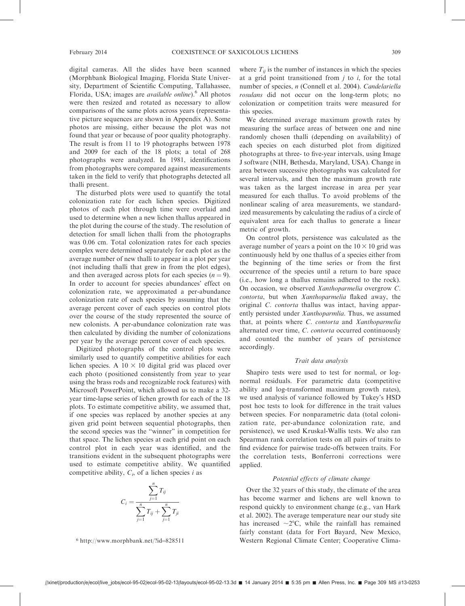digital cameras. All the slides have been scanned (Morphbank Biological Imaging, Florida State University, Department of Scientific Computing, Tallahassee, Florida, USA; images are *available online*).<sup>6</sup> All photos were then resized and rotated as necessary to allow comparisons of the same plots across years (representative picture sequences are shown in Appendix A). Some photos are missing, either because the plot was not found that year or because of poor quality photography. The result is from 11 to 19 photographs between 1978 and 2009 for each of the 18 plots; a total of 268 photographs were analyzed. In 1981, identifications from photographs were compared against measurements taken in the field to verify that photographs detected all thalli present.

The disturbed plots were used to quantify the total colonization rate for each lichen species. Digitized photos of each plot through time were overlaid and used to determine when a new lichen thallus appeared in the plot during the course of the study. The resolution of detection for small lichen thalli from the photographs was 0.06 cm. Total colonization rates for each species complex were determined separately for each plot as the average number of new thalli to appear in a plot per year (not including thalli that grew in from the plot edges), and then averaged across plots for each species  $(n = 9)$ . In order to account for species abundances' effect on colonization rate, we approximated a per-abundance colonization rate of each species by assuming that the average percent cover of each species on control plots over the course of the study represented the source of new colonists. A per-abundance colonization rate was then calculated by dividing the number of colonizations per year by the average percent cover of each species.

Digitized photographs of the control plots were similarly used to quantify competitive abilities for each lichen species. A  $10 \times 10$  digital grid was placed over each photo (positioned consistently from year to year using the brass rods and recognizable rock features) with Microsoft PowerPoint, which allowed us to make a 32 year time-lapse series of lichen growth for each of the 18 plots. To estimate competitive ability, we assumed that, if one species was replaced by another species at any given grid point between sequential photographs, then the second species was the ''winner'' in competition for that space. The lichen species at each grid point on each control plot in each year was identified, and the transitions evident in the subsequent photographs were used to estimate competitive ability. We quantified competitive ability,  $C_i$ , of a lichen species i as

$$
C_i = \frac{\sum_{j=1}^{n} T_{ij}}{\sum_{j=1}^{n} T_{ij} + \sum_{j=1}^{n} T_{ji}}
$$

where  $T_{ii}$  is the number of instances in which the species at a grid point transitioned from  $i$  to  $i$ , for the total number of species, n (Connell et al. 2004). Candelariella rosulans did not occur on the long-term plots; no colonization or competition traits were measured for this species.

We determined average maximum growth rates by measuring the surface areas of between one and nine randomly chosen thalli (depending on availability) of each species on each disturbed plot from digitized photographs at three- to five-year intervals, using Image J software (NIH, Bethesda, Maryland, USA). Change in area between successive photographs was calculated for several intervals, and then the maximum growth rate was taken as the largest increase in area per year measured for each thallus. To avoid problems of the nonlinear scaling of area measurements, we standardized measurements by calculating the radius of a circle of equivalent area for each thallus to generate a linear metric of growth.

On control plots, persistence was calculated as the average number of years a point on the  $10 \times 10$  grid was continuously held by one thallus of a species either from the beginning of the time series or from the first occurrence of the species until a return to bare space (i.e., how long a thallus remains adhered to the rock). On occasion, we observed Xanthoparmelia overgrow C. contorta, but when Xanthoparmelia flaked away, the original C. contorta thallus was intact, having apparently persisted under Xanthoparmlia. Thus, we assumed that, at points where C. contorta and Xanthoparmelia alternated over time, C. contorta occurred continuously and counted the number of years of persistence accordingly.

#### Trait data analysis

Shapiro tests were used to test for normal, or lognormal residuals. For parametric data (competitive ability and log-transformed maximum growth rates), we used analysis of variance followed by Tukey's HSD post hoc tests to look for difference in the trait values between species. For nonparametric data (total colonization rate, per-abundance colonization rate, and persistence), we used Kruskal-Wallis tests. We also ran Spearman rank correlation tests on all pairs of traits to find evidence for pairwise trade-offs between traits. For the correlation tests, Bonferroni corrections were applied.

# Potential effects of climate change

Over the 32 years of this study, the climate of the area has become warmer and lichens are well known to respond quickly to environment change (e.g., van Hark et al. 2002). The average temperature near our study site has increased  $\sim$ 2°C, while the rainfall has remained fairly constant (data for Fort Bayard, New Mexico, 6 http://www.morphbank.net/?id=828511 Western Regional Climate Center; Cooperative Clima-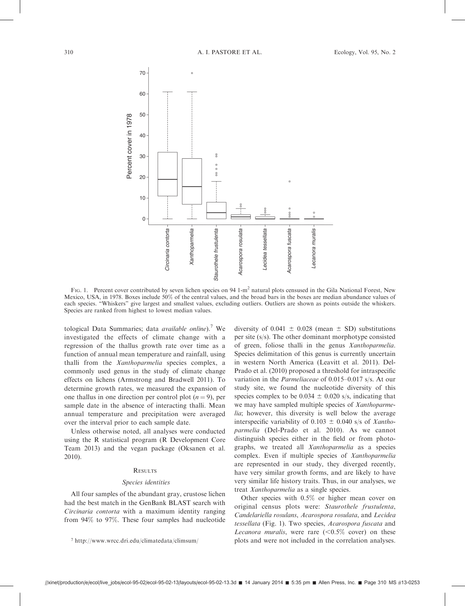

FIG. 1. Percent cover contributed by seven lichen species on 94  $1-m^2$  natural plots censused in the Gila National Forest, New Mexico, USA, in 1978. Boxes include 50% of the central values, and the broad bars in the boxes are median abundance values of each species. ''Whiskers'' give largest and smallest values, excluding outliers. Outliers are shown as points outside the whiskers. Species are ranked from highest to lowest median values.

tological Data Summaries; data *available online*).<sup>7</sup> We investigated the effects of climate change with a regression of the thallus growth rate over time as a function of annual mean temperature and rainfall, using thalli from the Xanthoparmelia species complex, a commonly used genus in the study of climate change effects on lichens (Armstrong and Bradwell 2011). To determine growth rates, we measured the expansion of one thallus in one direction per control plot  $(n = 9)$ , per sample date in the absence of interacting thalli. Mean annual temperature and precipitation were averaged over the interval prior to each sample date.

Unless otherwise noted, all analyses were conducted using the R statistical program (R Development Core Team 2013) and the vegan package (Oksanen et al. 2010).

### **RESULTS**

#### Species identities

All four samples of the abundant gray, crustose lichen had the best match in the GenBank BLAST search with Circinaria contorta with a maximum identity ranging from 94% to 97%. These four samples had nucleotide

<sup>7</sup> http://www.wrcc.dri.edu/climatedata/climsum/

diversity of 0.041  $\pm$  0.028 (mean  $\pm$  SD) substitutions per site (s/s). The other dominant morphotype consisted of green, foliose thalli in the genus Xanthoparmelia. Species delimitation of this genus is currently uncertain in western North America (Leavitt et al. 2011). Del-Prado et al. (2010) proposed a threshold for intraspecific variation in the Parmeliaceae of 0.015–0.017 s/s. At our study site, we found the nucleotide diversity of this species complex to be  $0.034 \pm 0.020$  s/s, indicating that we may have sampled multiple species of *Xanthoparme*lia; however, this diversity is well below the average interspecific variability of  $0.103 \pm 0.040$  s/s of *Xantho*parmelia (Del-Prado et al. 2010). As we cannot distinguish species either in the field or from photographs, we treated all Xanthoparmelia as a species complex. Even if multiple species of Xanthoparmelia are represented in our study, they diverged recently, have very similar growth forms, and are likely to have very similar life history traits. Thus, in our analyses, we treat Xanthoparmelia as a single species.

Other species with 0.5% or higher mean cover on original census plots were: Staurothele frustulenta, Candelariella rosulans, Acarospora rosulata, and Lecidea tessellata (Fig. 1). Two species, Acarospora fuscata and Lecanora muralis, were rare  $(<0.5\%$  cover) on these plots and were not included in the correlation analyses.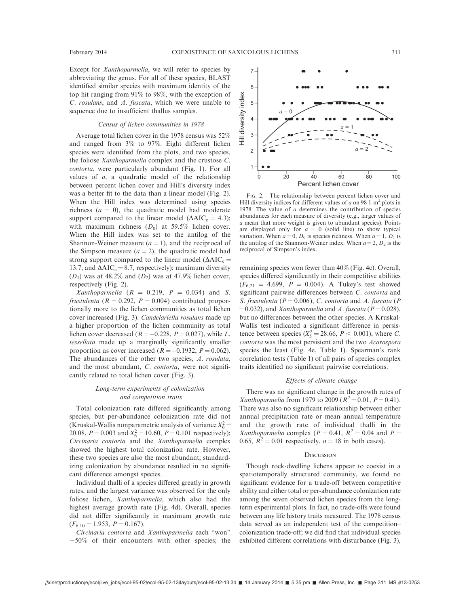Except for *Xanthoparmelia*, we will refer to species by abbreviating the genus. For all of these species, BLAST identified similar species with maximum identity of the top hit ranging from 91% to 98%, with the exception of C. rosulans, and A. fuscata, which we were unable to sequence due to insufficient thallus samples.

#### Census of lichen communities in 1978

Average total lichen cover in the 1978 census was 52% and ranged from 3% to 97%. Eight different lichen species were identified from the plots, and two species, the foliose Xanthoparmelia complex and the crustose C. contorta, were particularly abundant (Fig. 1). For all values of a, a quadratic model of the relationship between percent lichen cover and Hill's diversity index was a better fit to the data than a linear model (Fig. 2). When the Hill index was determined using species richness  $(a = 0)$ , the quadratic model had moderate support compared to the linear model ( $\Delta AIC_c = 4.3$ ); with maximum richness  $(D_0)$  at 59.5% lichen cover. When the Hill index was set to the antilog of the Shannon-Weiner measure  $(a = 1)$ , and the reciprocal of the Simpson measure  $(a = 2)$ , the quadratic model had strong support compared to the linear model ( $\Delta AIC_c$  = 13.7, and  $\Delta AIC_c = 8.7$ , respectively); maximum diversity  $(D_1)$  was at 48.2% and  $(D_2)$  was at 47.9% lichen cover, respectively (Fig. 2).

Xanthoparmelia  $(R = 0.219, P = 0.034)$  and S. frustulenta ( $R = 0.292$ ,  $P = 0.004$ ) contributed proportionally more to the lichen communities as total lichen cover increased (Fig. 3). Candelariella rosulans made up a higher proportion of the lichen community as total lichen cover decreased  $(R = -0.228, P = 0.027)$ , while L. tessellata made up a marginally significantly smaller proportion as cover increased  $(R = -0.1932, P = 0.062)$ . The abundances of the other two species, A. rosulata, and the most abundant, C. contorta, were not significantly related to total lichen cover (Fig. 3).

## Long-term experiments of colonization and competition traits

Total colonization rate differed significantly among species, but per-abundance colonization rate did not (Kruskal-Wallis nonparametric analysis of variance  $X_6^2$  = 20.08,  $P = 0.003$  and  $X_6^2 = 10.60$ ,  $P = 0.101$  respectively); Circinaria contorta and the Xanthoparmelia complex showed the highest total colonization rate. However, these two species are also the most abundant; standardizing colonization by abundance resulted in no significant difference amongst species.

Individual thalli of a species differed greatly in growth rates, and the largest variance was observed for the only foliose lichen, Xanthoparmelia, which also had the highest average growth rate (Fig. 4d). Overall, species did not differ significantly in maximum growth rate  $(F_{6,10} = 1.953, P = 0.167).$ 

Circinaria contorta and Xanthoparmelia each ''won''  $\sim$  50% of their encounters with other species; the



FIG. 2. The relationship between percent lichen cover and Hill diversity indices for different values of  $a$  on 98 1-m<sup>2</sup> plots in 1978. The value of a determines the contribution of species abundances for each measure of diversity (e.g., larger values of  $a$  mean that more weight is given to abundant species). Points are displayed only for  $a = 0$  (solid line) to show typical variation. When  $a = 0$ ,  $D_0$  is species richness. When  $a = 1$ ,  $D_1$  is the antilog of the Shannon-Weiner index. When  $a = 2$ ,  $D_2$  is the reciprocal of Simpson's index.

remaining species won fewer than 40% (Fig. 4c). Overall, species differed significantly in their competitive abilities  $(F_{6,21} = 4.699, P = 0.004)$ . A Tukey's test showed significant pairwise differences between C. contorta and S. frustulenta ( $P = 0.006$ ), C. contorta and A. fuscata (P  $(1,0032)$ , and Xanthoparmelia and A. fuscata (P=0.028), but no differences between the other species. A Kruskal-Wallis test indicated a significant difference in persistence between species ( $X_5^2 = 28.66$ ,  $P < 0.001$ ), where C. contorta was the most persistent and the two Acarospora species the least (Fig. 4e, Table 1). Spearman's rank correlation tests (Table 1) of all pairs of species complex traits identified no significant pairwise correlations.

#### Effects of climate change

There was no significant change in the growth rates of *Xanthoparmelia* from 1979 to 2009 ( $R^2 = 0.01$ ,  $P = 0.41$ ). There was also no significant relationship between either annual precipitation rate or mean annual temperature and the growth rate of individual thalli in the Xanthoparmelia complex ( $P = 0.41$ ,  $R^2 = 0.04$  and  $P =$ 0.65,  $R^2 = 0.01$  respectively,  $n = 18$  in both cases).

## **DISCUSSION**

Though rock-dwelling lichens appear to coexist in a spatiotemporally structured community, we found no significant evidence for a trade-off between competitive ability and either total or per-abundance colonization rate among the seven observed lichen species from the longterm experimental plots. In fact, no trade-offs were found between any life history traits measured. The 1978 census data served as an independent test of the competition– colonization trade-off; we did find that individual species exhibited different correlations with disturbance (Fig. 3),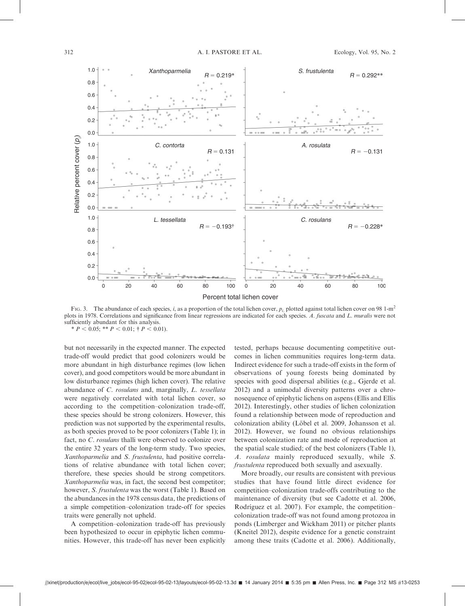

FIG. 3. The abundance of each species, i, as a proportion of the total lichen cover,  $p_i$  plotted against total lichen cover on 98 1-m<sup>2</sup> plots in 1978. Correlations and significance from linear regressions are indicated for each species. A. fuscata and L. muralis were not sufficiently abundant for this analysis.

 $* P < 0.05; ** P < 0.01; \dagger P < 0.01$ .

but not necessarily in the expected manner. The expected trade-off would predict that good colonizers would be more abundant in high disturbance regimes (low lichen cover), and good competitors would be more abundant in low disturbance regimes (high lichen cover). The relative abundance of C. rosulans and, marginally, L. tessellata were negatively correlated with total lichen cover, so according to the competition–colonization trade-off, these species should be strong colonizers. However, this prediction was not supported by the experimental results, as both species proved to be poor colonizers (Table 1); in fact, no C. rosulans thalli were observed to colonize over the entire 32 years of the long-term study. Two species, Xanthoparmelia and S. frustulenta, had positive correlations of relative abundance with total lichen cover; therefore, these species should be strong competitors. Xanthoparmelia was, in fact, the second best competitor; however, S. frustulenta was the worst (Table 1). Based on the abundances in the 1978 census data, the predictions of a simple competition–colonization trade-off for species traits were generally not upheld.

A competition–colonization trade-off has previously been hypothesized to occur in epiphytic lichen communities. However, this trade-off has never been explicitly tested, perhaps because documenting competitive outcomes in lichen communities requires long-term data. Indirect evidence for such a trade-off exists in the form of observations of young forests being dominated by species with good dispersal abilities (e.g., Gjerde et al. 2012) and a unimodal diversity patterns over a chronosequence of epiphytic lichens on aspens (Ellis and Ellis 2012). Interestingly, other studies of lichen colonization found a relationship between mode of reproduction and colonization ability (Löbel et al. 2009, Johansson et al. 2012). However, we found no obvious relationships between colonization rate and mode of reproduction at the spatial scale studied; of the best colonizers (Table 1), A. rosulata mainly reproduced sexually, while S. frustulenta reproduced both sexually and asexually.

More broadly, our results are consistent with previous studies that have found little direct evidence for competition–colonization trade-offs contributing to the maintenance of diversity (but see Cadotte et al. 2006, Rodríguez et al. 2007). For example, the competition– colonization trade-off was not found among protozoa in ponds (Limberger and Wickham 2011) or pitcher plants (Kneitel 2012), despite evidence for a genetic constraint among these traits (Cadotte et al. 2006). Additionally,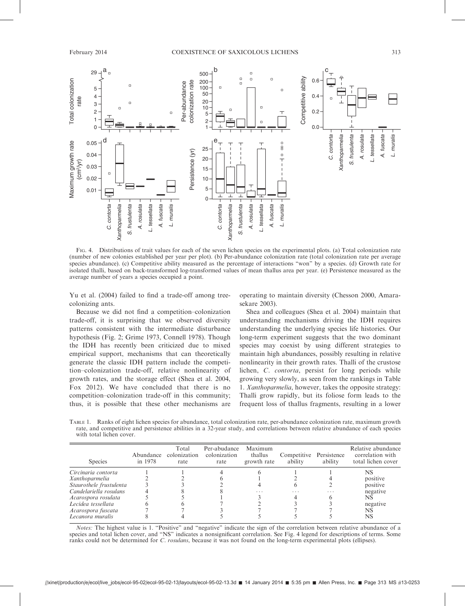

FIG. 4. Distributions of trait values for each of the seven lichen species on the experimental plots. (a) Total colonization rate (number of new colonies established per year per plot). (b) Per-abundance colonization rate (total colonization rate per average species abundance). (c) Competitive ability measured as the percentage of interactions ''won'' by a species. (d) Growth rate for isolated thalli, based on back-transformed log-transformed values of mean thallus area per year. (e) Persistence measured as the average number of years a species occupied a point.

Yu et al. (2004) failed to find a trade-off among treecolonizing ants.

Because we did not find a competition–colonization trade-off, it is surprising that we observed diversity patterns consistent with the intermediate disturbance hypothesis (Fig. 2; Grime 1973, Connell 1978). Though the IDH has recently been criticized due to mixed empirical support, mechanisms that can theoretically generate the classic IDH pattern include the competition–colonization trade-off, relative nonlinearity of growth rates, and the storage effect (Shea et al. 2004, Fox 2012). We have concluded that there is no competition–colonization trade-off in this community; thus, it is possible that these other mechanisms are

operating to maintain diversity (Chesson 2000, Amarasekare 2003).

Shea and colleagues (Shea et al. 2004) maintain that understanding mechanisms driving the IDH requires understanding the underlying species life histories. Our long-term experiment suggests that the two dominant species may coexist by using different strategies to maintain high abundances, possibly resulting in relative nonlinearity in their growth rates. Thalli of the crustose lichen, C. contorta, persist for long periods while growing very slowly, as seen from the rankings in Table 1. Xanthoparmelia, however, takes the opposite strategy: Thalli grow rapidly, but its foliose form leads to the frequent loss of thallus fragments, resulting in a lower

TABLE 1. Ranks of eight lichen species for abundance, total colonization rate, per-abundance colonization rate, maximum growth rate, and competitive and persistence abilities in a 32-year study, and correlations between relative abundance of each species with total lichen cover.

| <b>Species</b>          | Abundance<br>in 1978 | Total<br>colonization<br>rate | Per-abudance<br>colonization<br>rate | Maximum<br>thallus<br>growth rate | Competitive Persistence<br>ability | ability | Relative abundance<br>correlation with<br>total lichen cover |
|-------------------------|----------------------|-------------------------------|--------------------------------------|-----------------------------------|------------------------------------|---------|--------------------------------------------------------------|
| Circinaria contorta     |                      |                               |                                      |                                   |                                    |         | NS                                                           |
| Xanthoparmelia          |                      |                               |                                      |                                   |                                    |         | positive                                                     |
| Staurothele frustulenta |                      |                               |                                      |                                   |                                    |         | positive                                                     |
| Candelariella rosulans  |                      |                               |                                      | .                                 | .                                  | .       | negative                                                     |
| Acarospora rosulata     |                      |                               |                                      |                                   |                                    |         | NS                                                           |
| Lecidea tessellata      |                      |                               |                                      |                                   |                                    |         | negative                                                     |
| Acarospora fuscata      |                      |                               |                                      |                                   |                                    |         | NS                                                           |
| Lecanora muralis        |                      |                               |                                      |                                   |                                    |         | NS                                                           |

Notes: The highest value is 1. "Positive" and "negative" indicate the sign of the correlation between relative abundance of a species and total lichen cover, and ''NS'' indicates a nonsignificant correlation. See Fig. 4 legend for descriptions of terms. Some ranks could not be determined for C. rosulans, because it was not found on the long-term experimental plots (ellipses).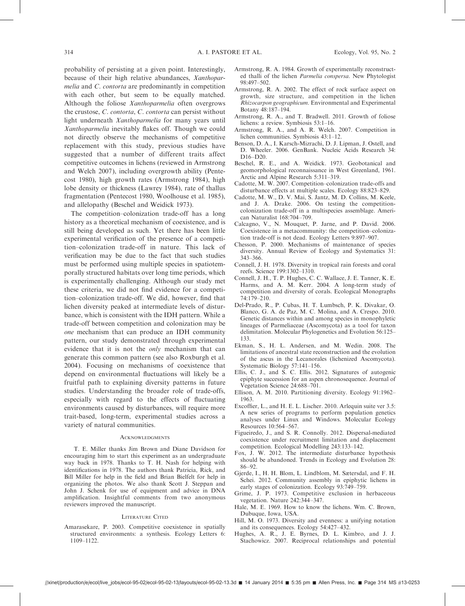probability of persisting at a given point. Interestingly, because of their high relative abundances, Xanthoparmelia and C. contorta are predominantly in competition with each other, but seem to be equally matched. Although the foliose Xanthoparmelia often overgrows the crustose, C. contorta, C. contorta can persist without light underneath Xanthoparmelia for many years until Xanthoparmelia inevitably flakes off. Though we could not directly observe the mechanisms of competitive replacement with this study, previous studies have suggested that a number of different traits affect competitive outcomes in lichens (reviewed in Armstrong and Welch 2007), including overgrowth ability (Pentecost 1980), high growth rates (Armstrong 1984), high lobe density or thickness (Lawrey 1984), rate of thallus fragmentation (Pentecost 1980, Woolhouse et al. 1985), and allelopathy (Beschel and Weidick 1973).

The competition–colonization trade-off has a long history as a theoretical mechanism of coexistence, and is still being developed as such. Yet there has been little experimental verification of the presence of a competition–colonization trade-off in nature. This lack of verification may be due to the fact that such studies must be performed using multiple species in spatiotemporally structured habitats over long time periods, which is experimentally challenging. Although our study met these criteria, we did not find evidence for a competition–colonization trade-off. We did, however, find that lichen diversity peaked at intermediate levels of disturbance, which is consistent with the IDH pattern. While a trade-off between competition and colonization may be one mechanism that can produce an IDH community pattern, our study demonstrated through experimental evidence that it is not the *only* mechanism that can generate this common pattern (see also Roxburgh et al. 2004). Focusing on mechanisms of coexistence that depend on environmental fluctuations will likely be a fruitful path to explaining diversity patterns in future studies. Understanding the broader role of trade-offs, especially with regard to the effects of fluctuating environments caused by disturbances, will require more trait-based, long-term, experimental studies across a variety of natural communities.

#### ACKNOWLEDGMENTS

T. E. Miller thanks Jim Brown and Diane Davidson for encouraging him to start this experiment as an undergraduate way back in 1978. Thanks to T. H. Nash for helping with identifications in 1978. The authors thank Patricia, Rick, and Bill Miller for help in the field and Brian Bielfelt for help in organizing the photos. We also thank Scott J. Steppan and John J. Schenk for use of equipment and advice in DNA amplification. Insightful comments from two anonymous reviewers improved the manuscript.

#### LITERATURE CITED

Amarasekare, P. 2003. Competitive coexistence in spatially structured environments: a synthesis. Ecology Letters 6: 1109–1122.

- Armstrong, R. A. 1984. Growth of experimentally reconstructed thalli of the lichen Parmelia conspersa. New Phytologist 98:497–502.
- Armstrong, R. A. 2002. The effect of rock surface aspect on growth, size structure, and competition in the lichen Rhizocarpon geographicum. Environmental and Experimental Botany 48:187–194.
- Armstrong, R. A., and T. Bradwell. 2011. Growth of foliose lichens: a review. Symbiosis 53:1–16.
- Armstrong, R. A., and A. R. Welch. 2007. Competition in lichen communities. Symbiosis 43:1–12.
- Benson, D. A., I. Karsch-Mizrachi, D. J. Lipman, J. Ostell, and D. Wheeler. 2006. GenBank. Nucleic Acids Research 34: D16–D20.
- Beschel, R. E., and A. Weidick. 1973. Geobotanical and geomorphological reconnaissance in West Greenland, 1961. Arctic and Alpine Research 5:311–319.
- Cadotte, M. W. 2007. Competition–colonization trade-offs and disturbance effects at multiple scales. Ecology 88:823–829.
- Cadotte, M. W., D. V. Mai, S. Jantz, M. D. Collins, M. Keele, and J. A. Drake. 2006. On testing the competitioncolonization trade-off in a multispecies assemblage. American Naturalist 168:704–709.
- Calcagno, V., N. Mouquet, P. Jarne, and P. David. 2006. Coexistence in a metacommunity: the competition–colonization trade-off is not dead. Ecology Letters 9:897–907.
- Chesson, P. 2000. Mechanisms of maintenance of species diversity. Annual Review of Ecology and Systematics 31: 343–366.
- Connell, J. H. 1978. Diversity in tropical rain forests and coral reefs. Science 199:1302–1310.
- Connell, J. H., T. P. Hughes, C. C. Wallace, J. E. Tanner, K. E. Harms, and A. M. Kerr. 2004. A long-term study of competition and diversity of corals. Ecological Monographs 74:179–210.
- Del-Prado, R., P. Cubas, H. T. Lumbsch, P. K. Divakar, O. Blanco, G. A. de Paz, M. C. Molina, and A. Crespo. 2010. Genetic distances within and among species in monophyletic lineages of Parmeliaceae (Ascomycota) as a tool for taxon delimitation. Molecular Phylogenetics and Evolution 56:125– 133.
- Ekman, S., H. L. Andersen, and M. Wedin. 2008. The limitations of ancestral state reconstruction and the evolution of the ascus in the Lecanorales (lichenized Ascomycota). Systematic Biology 57:141–156.
- Ellis, C. J., and S. C. Ellis. 2012. Signatures of autogenic epiphyte succession for an aspen chronosequence. Journal of Vegetation Science 24:688–701.
- Ellison, A. M. 2010. Partitioning diversity. Ecology 91:1962– 1963.
- Excoffier, L., and H. E. L. Lischer. 2010. Arlequin suite ver 3.5: A new series of programs to perform population genetics analyses under Linux and Windows. Molecular Ecology Resources 10:564–567.
- Figueiredo, J., and S. R. Connolly. 2012. Dispersal-mediated coexistence under recruitment limitation and displacement competition. Ecological Modelling 243:133–142.
- Fox, J. W. 2012. The intermediate disturbance hypothesis should be abandoned. Trends in Ecology and Evolution 28: 86–92.
- Gjerde, I., H. H. Blom, L. Lindblom, M. Sætersdal, and F. H. Schei. 2012. Community assembly in epiphytic lichens in early stages of colonization. Ecology 93:749–759.
- Grime, J. P. 1973. Competitive exclusion in herbaceous vegetation. Nature 242:344–347.
- Hale, M. E. 1969. How to know the lichens. Wm. C. Brown, Dubuque, Iowa, USA.
- Hill, M. O. 1973. Diversity and evenness: a unifying notation and its consequences. Ecology 54:427–432.
- Hughes, A. R., J. E. Byrnes, D. L. Kimbro, and J. J. Stachowicz. 2007. Reciprocal relationships and potential